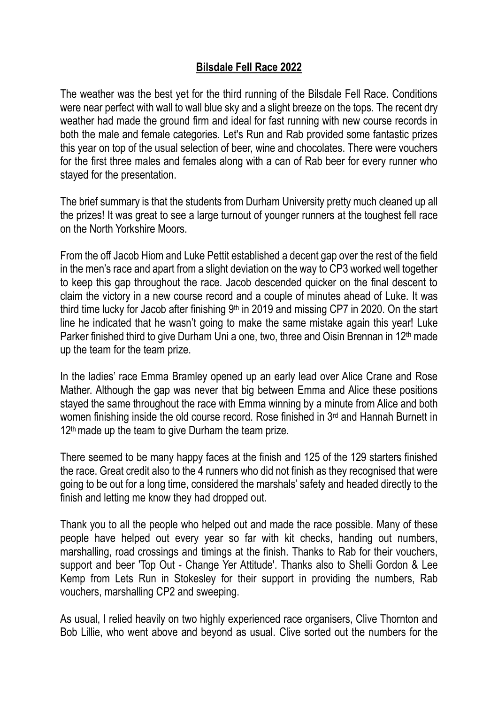## **Bilsdale Fell Race 2022**

The weather was the best yet for the third running of the Bilsdale Fell Race. Conditions were near perfect with wall to wall blue sky and a slight breeze on the tops. The recent dry weather had made the ground firm and ideal for fast running with new course records in both the male and female categories. Let's Run and Rab provided some fantastic prizes this year on top of the usual selection of beer, wine and chocolates. There were vouchers for the first three males and females along with a can of Rab beer for every runner who stayed for the presentation.

The brief summary is that the students from Durham University pretty much cleaned up all the prizes! It was great to see a large turnout of younger runners at the toughest fell race on the North Yorkshire Moors.

From the off Jacob Hiom and Luke Pettit established a decent gap over the rest of the field in the men's race and apart from a slight deviation on the way to CP3 worked well together to keep this gap throughout the race. Jacob descended quicker on the final descent to claim the victory in a new course record and a couple of minutes ahead of Luke. It was third time lucky for Jacob after finishing  $9<sup>th</sup>$  in 2019 and missing CP7 in 2020. On the start line he indicated that he wasn't going to make the same mistake again this year! Luke Parker finished third to give Durham Uni a one, two, three and Oisin Brennan in 12th made up the team for the team prize.

In the ladies' race Emma Bramley opened up an early lead over Alice Crane and Rose Mather. Although the gap was never that big between Emma and Alice these positions stayed the same throughout the race with Emma winning by a minute from Alice and both women finishing inside the old course record. Rose finished in 3rd and Hannah Burnett in  $12<sup>th</sup>$  made up the team to give Durham the team prize.

There seemed to be many happy faces at the finish and 125 of the 129 starters finished the race. Great credit also to the 4 runners who did not finish as they recognised that were going to be out for a long time, considered the marshals' safety and headed directly to the finish and letting me know they had dropped out.

Thank you to all the people who helped out and made the race possible. Many of these people have helped out every year so far with kit checks, handing out numbers, marshalling, road crossings and timings at the finish. Thanks to [Rab](https://www.facebook.com/rab.equipment/?__cft__%5b0%5d=AZU91q3Q5tV_CVjCJ2Ef6WvYeyeFDVf4Oy-CPsFjSf6MZcD-hmdo0hSfRDFHSBJiaT-JER1qF2hnrZcwcJMP5ELG249cY0cD_qkiZ-Takst0c3-prswXXbHdnYhDXKCT-5K36SdOiKtbhJzVLG-M5_Jh&__tn__=kK-R) for their vouchers, support and beer 'Top Out - Change Yer Attitude'. Thanks also to [Shelli Gordon](https://www.facebook.com/shelli.gordon.58?__cft__%5b0%5d=AZU91q3Q5tV_CVjCJ2Ef6WvYeyeFDVf4Oy-CPsFjSf6MZcD-hmdo0hSfRDFHSBJiaT-JER1qF2hnrZcwcJMP5ELG249cY0cD_qkiZ-Takst0c3-prswXXbHdnYhDXKCT-5K36SdOiKtbhJzVLG-M5_Jh&__tn__=-%5dK-R) & [Lee](https://www.facebook.com/kempolini?__cft__%5b0%5d=AZU91q3Q5tV_CVjCJ2Ef6WvYeyeFDVf4Oy-CPsFjSf6MZcD-hmdo0hSfRDFHSBJiaT-JER1qF2hnrZcwcJMP5ELG249cY0cD_qkiZ-Takst0c3-prswXXbHdnYhDXKCT-5K36SdOiKtbhJzVLG-M5_Jh&__tn__=-%5dK-R)  [Kemp](https://www.facebook.com/kempolini?__cft__%5b0%5d=AZU91q3Q5tV_CVjCJ2Ef6WvYeyeFDVf4Oy-CPsFjSf6MZcD-hmdo0hSfRDFHSBJiaT-JER1qF2hnrZcwcJMP5ELG249cY0cD_qkiZ-Takst0c3-prswXXbHdnYhDXKCT-5K36SdOiKtbhJzVLG-M5_Jh&__tn__=-%5dK-R) from [Lets](https://www.facebook.com/letsrunNE/?__cft__%5b0%5d=AZU91q3Q5tV_CVjCJ2Ef6WvYeyeFDVf4Oy-CPsFjSf6MZcD-hmdo0hSfRDFHSBJiaT-JER1qF2hnrZcwcJMP5ELG249cY0cD_qkiZ-Takst0c3-prswXXbHdnYhDXKCT-5K36SdOiKtbhJzVLG-M5_Jh&__tn__=kK-R) Run in Stokesley for their support in providing the numbers, Rab vouchers, marshalling CP2 and sweeping.

As usual, I relied heavily on two highly experienced race organisers, Clive Thornton and Bob Lillie, who went above and beyond as usual. Clive sorted out the numbers for the